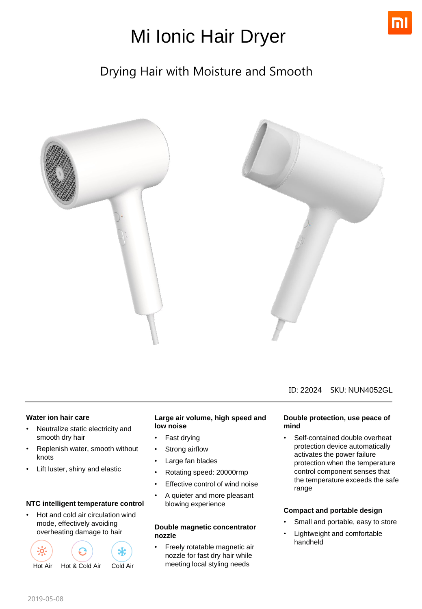

# Mi Ionic Hair Dryer

### Drying Hair with Moisture and Smooth



#### ID: 22024 SKU: NUN4052GL

#### **Water ion hair care**

- Neutralize static electricity and smooth dry hair
- Replenish water, smooth without knots
- Lift luster, shiny and elastic

#### **NTC intelligent temperature control**

• Hot and cold air circulation wind mode, effectively avoiding overheating damage to hair



#### **Large air volume, high speed and low noise**

- Fast drying
- Strong airflow
- Large fan blades
- Rotating speed: 20000rmp
- Effective control of wind noise
- A quieter and more pleasant blowing experience

#### **Double magnetic concentrator nozzle**

• Freely rotatable magnetic air nozzle for fast dry hair while meeting local styling needs

#### **Double protection, use peace of mind**

Self-contained double overheat protection device automatically activates the power failure protection when the temperature control component senses that the temperature exceeds the safe range

#### **Compact and portable design**

- Small and portable, easy to store
- Lightweight and comfortable handheld